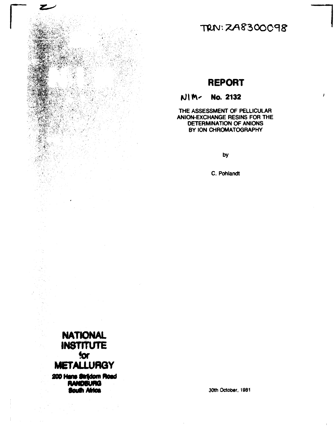

TRN: 2A8300098

## **REPORT**

## NIM- No. 2132

THE ASSESSMENT OF PELLICULAR ANION-EXCHANGE RESINS FOR THE **DETERMINATION OF ANIONS** BY ION CHROMATOGRAPHY

by

C. Pohlandt



**South Africa** 

30th October, 1981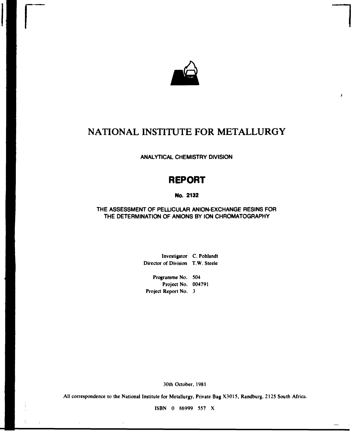

**r i** 

ł

# **NATIONAL INSTITUTE FOR METALLURGY**

**ANALYTICAL CHEMISTRY DIVISION** 

# **REPORT**

### **No. 2132**

## **THE ASSESSMENT OF PELLICULAR ANION-EXCHANGE RESINS FOR THE DETERMINATION OF ANIONS BY ION CHROMATOGRAPHY**

**Investigator C. Pohlandt Director of Division T.W. Steele** 

**Programme No. 504 Project No. 004791 Project Report No. 3** 

**30th October, 1981** 

**All correspondence to the National Institute for Metallurgy, Private Bag X3015, Randburg, 2125 South Africa.** 

**ISBN 0 86999 557 X** 

÷.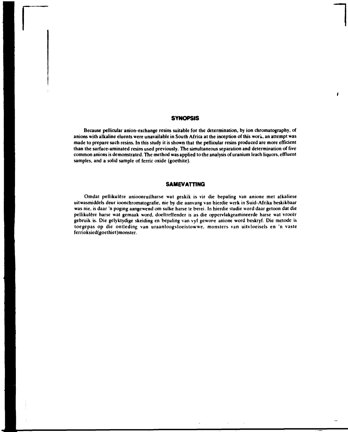#### **SYNOPSIS**

đ

**Because pellicular anion-exchange resins suitable for the determination, by ion chromatography, of anions with alkaline eluents were unavailable in South Africa at the inception of this work, an attempt was made to prepare such resins. In this study it is shown that the pellicular resins produced are more efficient than the surface-aminated resins used previously. The simultaneous separation and determination of five common anions is demonstrated. The method was applied to the analysis of uranium leach liquors, effluent samples, and a solid sample of ferric oxide (goethite).** 

#### **SAMEVATTING**

**Omdat pellikulêre anioonruilharse wat geskik is vir die bepaling van anione met alkaliese uitwasmiddels deur ioonchromatografie, nie by die aanvang van hierdie werk in Suid-Afrika beskikbaar was nie, is daar 'n poging aangewend om sulke harse te berei. In hierdie studie word daar getoon dat die pellikulêre harse wat gemaak word, doeltreffender is as die oppervlakgeamineerde harse wat vroeër gebruik is. Die gelyktydige skeiding en bepaling van vyf gewone anione word beskryf. Die metode is toegepas op die ontleding van uraanloogvioeistowwe, monsters van uitvloeisels en n vaste ferrioksied(goethiet)monster.**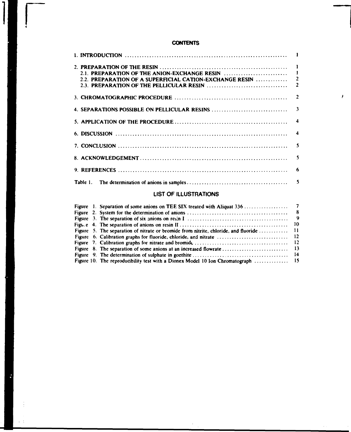### **CONTENTS**

 $\overline{1}$ 

 $\epsilon$ 

 $\mathbf{r}=\frac{1}{2}$ 

| 7. CONCLUSION $\ldots$ $\ldots$ $\ldots$ $\ldots$ $\ldots$ $\ldots$ $\ldots$ $\ldots$ $\ldots$ $\ldots$ $\ldots$ $\ldots$ $\ldots$ |  |
|------------------------------------------------------------------------------------------------------------------------------------|--|
|                                                                                                                                    |  |
|                                                                                                                                    |  |
|                                                                                                                                    |  |

 $\pmb{\prime}$ 

### **LIST OF ILLUSTRATIONS**

 $\pm$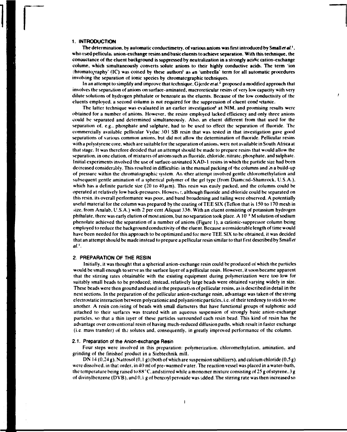#### **1. INTRODUCTION**

**The determination, by automatic conductimetry. of various anions was first introduced by Small** *etal.'.*  **who used pellicula; anion-exchange resins and basic eluents to achieve separation. With this technique, the conauctance of the eluent background is suppressed by neutralization in a strongly acidic cation-exchange column, which simultaneously converts solute anions to their highly conductive acids. The term 'ion chromatography' (IC) was coined by these authors' as an 'umbrella' term for all automatic procedures involving the separation of ionic species by chromatographic techniques.** 

**In an attempt to simplify and improve that technique. Gjerde** *etal-<sup>2</sup>*  **proposed a modified approach that involves the separation of anions on surface-aminated. macroreticular resins of very low capacity with very dilute solutions of hydrogen phthalate or benzoate as the eluents. Because of the low conductivity of the**  eluents employed, a second column is not required for the suppression of eluent cond *vetance*.

**The latter technique was evaluated in an earlier investigation<sup>1</sup> at NIM. and promising results were obtained for a number of anions. However, the resins employed lacked efficiency and only three anions could be separated and determined simultaneously. Also, an eluent different from that used for the separation of. e.g.. phosphate and sulphate, had to be used to effect the separation of fluoride. The commercially available pellicular Vydac 301 SB resin that was tested in that investigation gave good separations of various common anions, but did not allow the determination of fluoride. Pellicular resins with a polystyrene core, which are suitable for the separation of anions, were not available in South Africa at that stage. It was therefore decided that an attempt should be made to prepare resins that would allow the separation, in one elution, of mixtures of anions such as fluoride, chloride, nitrate, phosphate, and sulphate. Initial experiments involved the use of surface-animated X AD-1 resins in which the particle size had been decreased considerably. This resulted in difficulties in the manual packing of the columns and in a build-up of pressure within the chromatographic system. An ither attempt involved gentle chloromethylation and subsequent gentle animation of a spherical polymer of the gel type (from Diamcnd-Shamrock. U.S.A.),**  which has a definite particle size (20 to  $40\mu$ m). This resin was easily packed, and the columns could be **operated at relatively low back-pressures. Howevv r, although fluoride and chloride could be separated on this resin, its overall performance was poor, and band broadening and tailing were observed. A potentially**  useful material for the column was prepared by the coating of TEE SIX (Teflon that is 150 to 170 mesh in **size, from Analab, U.S.A.) with 2 per cent Aliquat 336. With an eluent consisting of potassium hydrogen phthalate, there was early elution of most anions, but no separation took place. A**  $10^{-3}$  **M solution of sodium phenolate achieved the separation of a number of anions (Figure 1), a cationic-suppressor column being employed to reduce the background conductivity of the eluent. Because a considerable length of time would have been needed for this approach to be optimized and for more TEE SIX to be obtained, it was decided that an attempt should be made instead to prepare a pellicular resin similar to that first described by Small** *et aV.* 

#### 2. PREPARATION OF THE RESIN

**Initially, it was thought that a spherical anion-exchange resin could be produced of which the particles would be small enough to serve as the surface layer of a pellicular resin. However, it soon became apparent that the stirring rates obtainable with the existing equipment during polymerization were too low for suitably small beads to be produced; instead, relatively large beads were obtained varying widely in size. These beads were then ground and used in the preparation of pellicular resins, as is described in detail in the next sections. In the preparation of the pellicular anion-exchange resin, advantage was taken of the strong electrostatic interaction between polycationic and polyanionic particles, i.e. of their tendency to stick to one another. A resin consisting of beads with small diameters that have functional groups of sulphonic acid attached to their surfaces was treated with an aqueous suspension of strongly basic anion-exchange particles, so that a thin layer of these particles surrounded each resin bead. This kind of resin has the advantage over conventional resin of having much-reduced diffusion paths, which result in faster exchange**  (i.e. mass transfer) of the solutes and, consequently, in greatly improved performance of the column.

#### 2.1. Preparation of the Anion-exchange Resin

**Four steps were involved in this preparation: polymerization, chloromethylation, amination, and grinding of the finished product in a Siebtechnik mill.** 

**DN 14 (0,24 g), Natrosol (0,1 g) (both of which are suspension stabilizers), and calcium chloride (0,5 g)**  were dissolved, in that order, in 40 ml of pre-warmed vater. The reaction vessel was placed in a water-bath, **the temperature being raised to 88°C, and stirred while a monomer mixture consisting of 25 g of styrene, 3 g of divinylbenzene (DVB), and 0, i g of benzoyl peroxide was added. The stirring rate was then increased so**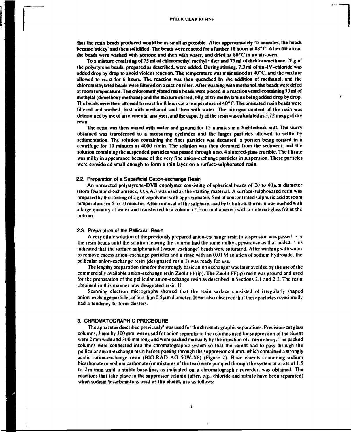**that the resin beads produced would be as small as possible. After approximately 45 minutes, the beads became 'sticky' and then solidified. The beads were reacted for a further 18 hours at 88\*C. After filtration, the beads were washed with acetone and then with water, and dried at 80\*C in an air-oven.** 

**To a mixture consisting of 75 ml of chloromethyl methyl -ttier and 75 ml of dichloromethane. 26 g of the polystyrene beads, prepared as described, were added. During stirring. 7,3 ml of tin-I V-chloride was added drop by drop to avoid violent reaction. The temperature was maintained at 40°C. and the mixture allowed to recct for 6 hours. The reaction was then quenched by the addition of methanol, and the chloromethylated beads were filtered on a suction filter. After washing with methanol, the beads were dried at room temperature. The chloromethylated resin beads were placed in a reaction vessel containing 50 ml of methylal (dimethoxy methane) and the mixture stirred, 60 g of tri-methylaminc being added drop by drop. The beads were then allowed to react for 8 hours at a temperature of 40° C. The animated resin beads were filtered and washed, first with methanol, and then with water. The nitrogen content of the resin was determined by use of an elemental analyser, and the capacity of the resin was calculated as 3,72 meq/g of dry resin.** 

**The resin was then mixed with water and ground for 15 minutes in a Siebtechnik mill. The slurry obtained was transferred to a measuring cyclinder and the larger particles allowed to settle by sedimentation. The solution containing the finer particles was decanted, a portion being rotated in a centrifuge for 10 minutes at 4000 r/min. The solution was then decanted from the sediment, and the solution containing the suspended particles was passed through a no. 4 sintered-glass crucible. The filtrate**  was milky in appearance because of the very fine anion-exchange particles in suspension. These particles **were considered small enough to form a thin layer on a surface-sulphonated resin.** 

#### **2.2. Preparation of a Superficial Cation-exchange Resin**

An unreacted polystyrene-DVB copolymer consisting of spherical beads of 20 to  $40\mu$ m diameter **(from Diamond-Schamrock, U.S.A.) was used as the starting material. A surface-sulphouated resin was prepared by the stirring of 2 g of copolymer with approximately 5 ml of concentrated sulphuric acid at room temperature for 5 to 10 minutes. After removal of the sulphuric acid by filtration, the resin was washed with a large quantity of water and transferred to a column (2.5 cm m diameter) with a sintered-glass frit at the bottom.** 

#### **2.3. Preparation of the Pellicular Resin**

**A very dilute solution of the previously prepared anion-exchange resin in suspension was passeH -. cr the resin beads until the solution leaving the column had the same milky appearance as that added. ' .lis indicated that the surface-sulphonated (cation-exchange) beads were saturated. After washing with water to remove excess anion-exchange particles and a rinse with an 0.01 M solution of sodium hydroxide, the pellicular anion-exchange resin (designated resin I) was ready for use.** 

**The lengthy preparation time for the strongly basic anion exchanger was later avoided by the use of the commercially available anion-exchange resin Zeolit FF(ip). The Zeolit FF(ip) resin was ground and used for the preparation of the pellicular anion-exchange resin as described in Sections 2.1 and 2.2. The resin obtained in this manner was designated resin II.** 

**Scanning electron micrographs showed that the resin surface consisted of irregularly shaped**  anion-exchange particles of less than  $9.5 \mu$ m diameter. It was also observed that these particles occasionally **had a tendency to form clusters.** 

#### **3. CHROMATOGRAPHIC PROCEDURE**

**The apparatus described previously\* was used for the chromatographic separations. Precision-cut glass columns, 3 mm by 300 mm, were used for anion separation; the columns used for suppression of the eluent were 2 mm wide and 300 mm long and were packed manually by the injection of a resin slurry. The packed columns were connected into the chromatographic system so that the eluent had to pass through the pellicular anion-exchange resin before passing through the suppressor column, which contained a strongly acidic cation-exchange resin (BIO.RAD AG 50W-X8) (Figure 2). Basic eluents containing sodium bicarbonate or sodium carbonate (or mixtures of the two) were pumped through the system at a rate of 1,5 to 2ml/min until a stable base-line, as indicated on a chromatographic recorder, was obtained. The reactions that take place in the suppressor column (after, e.g., chloride and nitrate have been separated) when sodium bicarbonate is used as the eluent, are as follows:**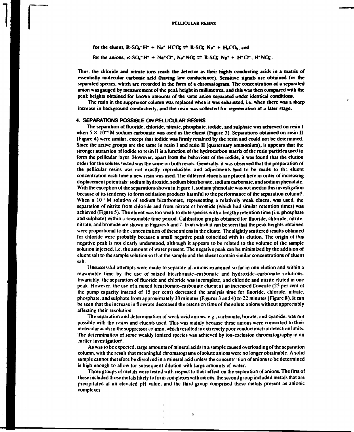for the eluent,  $R-SO<sub>2</sub><sup>-</sup>H<sup>+</sup> + Na<sup>+</sup> HCO<sub>5</sub> = R-SO<sub>3</sub> Na<sup>+</sup> + H<sub>2</sub>CO<sub>3</sub>$ , and

for the anions,  $R-SQ_1^-H^+ + Ne^+G^-$ ,  $Na^+NG \rightleftharpoons R-SQ_1^-Na^+ + H^+G^-$ ,  $H^+NG$ .

**Thus, the chloride and nitrate ions reach the detector as their highly conducting acids in a matrix of essentially molecular carbonic acid (having low conductance). Sensitive signals are obtained for the separated species, which are recorded in the form of a chromatograni. The concentration of a separated anion was gauged by measurement of the peal height in millimetres, and this was then compared with the peak heights obtained for known amounts of the same anion separated under identical conditions.** 

**The resin in the suppressor column was replaced when it was exhausted, i.e. when there was a sharp increase in background conductivity, and the resin was collected for regeneration at a later stage.** 

#### **4. SEPARATIONS POSSIBLE ON PELLICULAR RESINS**

**The separation of fluoride, chloride, nitrate, phosphate, iodide, and sulphate was achieved on resin I**  when  $5 \times 10^{-4}$  M sodium carbonate was used as the eluent (Figure 3). Separations obtained on resin II **(Figure 4) were similar, except that iodide was firmly retained by the resin and could not be determined. Since the active groups are the same in resin I and resin II (quaternary ammonium), it appears that the stronger attraction of iodide to resin II is a function of the hydrocarbon matrix of the resin particles used to form the pellicular layer. However, apart from the behaviour of the iodide, it was found that the elution order for the solutes 'ested was the same on both resins. Generally, it was observed that the preparation of**  the pellicular resins was not exactly reproducible, and adjustments had to be made to the eluent **concentration each time a new resin was used. The different eluents are placed here in order of increasing displacement potentials: sodium hydroxide, sodium bicarbonate, sodium carbonate, and sodium phenolate. With the exception of the separations shown in Figure 1, sodium phenolate was not used in this investigation because of its tendency to form oxidation products harmful to the performance of the separation column<sup>4</sup> .**  When a 10<sup>-3</sup> M solution of sodium bicarbonate, representing a relatively weak eluent, was used, the **separation of nitrite from chloride and from nitrate or bromide (which had similar retention times) was achieved (Figure 5). The eluent was too weak to elute species with a lengthy retention time (i.e. phosphate and sulphate) within a reasonable time period. Calibration graphs obtained for fluoride, chloride, nitrite, nitrate, and bromide are shown in Figures 6 and 7, from which it can be seen that the peak heights obtained were proportional to the concentration of these anions in the eluate. The slightly scattered results obtained for chloride were probably because a small negative peak coincided with its eiution. The origin of this negative peak is not clearly understood, although it appears to be related to the volume of the sample solution injected, i.e. the amount of water present. The negative peak can be minimized by the addition of eluent salt to the sample solution so that the sample and the eluent contain similar concentrations of eluent salt.** 

**Unsuccessful attempts were made to separate all anions examined so far in one elution and within a reasonable time by the use of mixed bicarbonate-carbonate and hydroxide-carbonate solutions. Invariably, the separation of fluoride and chloride was incomplete, and chloride and nitrite eluted in one peak. However, the use of a mixed bicarbonate-carbonate eluent at an increased flowrate (25 per cent of the pump capacity instead of 15 per cent) decreased the analysis time for fluoride, chloride, nitrate, phosphate, and sulphate from approximately 30 minutes (Figures 3 and 4) to 22 minutes (Figure 8). It can be seen that the increase in flowrate decreased the retention time of the solute anions without appreciably affecting their resolution.** 

**The separation and determination of weak-acid anions, e g., carbonate, borate, and cyanide, was not possible with the resins and eluents used. This was mainly because these anions were converted to their molecular acids in the suppressor column, which resulted in extremely poor conductimetric detection limits. The determination of some weakly ionized species was achieved by ion-exclusion chromatography in an earlier investigation<sup>1</sup> '.** 

**As was to be expected, large amounts of mineral acids in a sample caused overloading of the separation column, with the result that meaningful chromatograms of solute anions were no longer obtainable. A solid**  sample cannot therefore be dissolved in a mineral acid unless the concentration of anions to be determined **is high enough to allow for subsequent dilution with large amounts of water.** 

**Three groups of metals were tested with respect to their effect on the separation of anions. The first of these included those metals likely to form complexes with anions, the second group included metals that are precipitated at an elevated pH value, and the third group comprised those metals present as anionic complexes.** 

**3**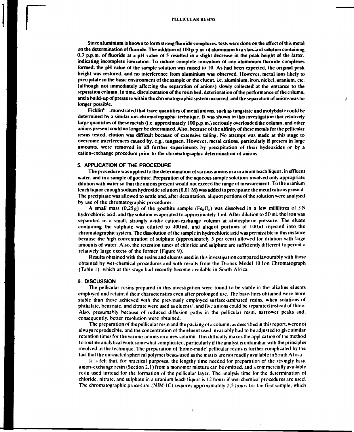**Since aluminium is known to form strong fluoride complexes, tests were done on the effect of this metal on the determination of fluoride. The addition of 100 p.p.m. of aluminium to a standard solution containing 0.3 p.p.m. of fluoride at a pH value of 5 resulted in a slight decrease in the peak height of the latter, indicating incomplete ionization. To induce complete ionization of any aluminium fluoride complexes formed, the pH value of the sample solution was raised to 10. As had been expected, the original peak height was restored, and no interference from aluminium was observed. However, metal ions likely to precipitate in the basic environment of the sample or the eluent. i.e. aluminium, iron, nickel, uranium, etc. (although not immediately affecting the separation of anions) slowly collected at the entrance to the separation column. In time, discolouration of the resin bed. deterioration of the performance of the column, and a build-up of pressure within the chromatographic system occurred, and the separation of anions was no longer possible.** 

Ficklin<sup>6</sup> . monstrated that trace quantities of metal anions, such as tungstate and molybdate could be **determined by a similar ion-chromatographic technique. It was shown in this investigation that relatively large quantities of these metals (i.e. approximately 100 p.p.m.) seriously overloaded the column, and other anions present could no longer be determined. Also, because of the affinity of these metals for the pellicular resins tested, elution was difficult because of extensive tailing. No attempt was made at this stage to overcome interferences caused by, e.g., tungsten. However, metal cations, particularly if present in large amounts, were removed in all further experiments by precipitation of their hydroxides or by a cation-exchange procedure prior to the chromatographic determination of anions.** 

#### **5. APPLICATION OF THE PROCEDURE**

**The procedure was applied to the determination of various anions in a uranium leach liquor, in effluent water, and in a sample of goefhite. Preparation of the aqueous sample solutions involved only appropriate dilution with water so that the anions present would not exceed the range of measurement. To the uranium leach liquor enough sodium hydroxide solution (0,01 M) was added to precipitate the metal cations present. The precipitate was allowed to settle and, after decantation, aliquot portions of the solution were analysed by use of the chromatographic procedures.** 

**A** small mass  $(0,25g)$  of the goethite sample  $(Fg_2O_1)$  was dissolved in a few millilitres of  $3N$ **hydrochloric acid, and the solution evaporated to approximately 1 ml. After dilution to SO ml, the iron was separated in a small, strongly acidic cation-exchange column at atmospheric pressure. The eluate**  containing the sulphate was diluted to  $400$ ml, and aliquot portions of  $100\mu$ l injected into the **chromatographic system. The dissolution of the sample in hydrochloric acid was permissible in this instance because the high concentration of sulphate (approximately 5 per cent) allowed for dilution with large amounts of water. Also, the retention times of chloride and sulphate are sufficiently different to permit a relatively large excess of the former (Figure 9).** 

**Results obtained with the resins and eluents used in this investigation compared favourably with those obtained by wet-chemical procedures and with results from the Dionex Model 10 Ion Chromatograph (Table I), which at this stage had recently become available in South Africa.** 

#### **6. DISCUSSION**

**The pellicular resins prepared in this investigation were found to be stable in** *the* **alkaline eluents employed and retained their characteristics even after prolonged use. The base-lines obtained were more stable than those achieved with the previously employed surface-aminated resins, when solutions of phthalate, benzoate. and citrate were used as eluents<sup>3</sup> , and five anions could be separated instead of three. Also, presumably because of reduced diffusion paths in the pellicular resin, narrower peaks and, consequently, better resolution were obtained.** 

**The preparation of the pellicular resin and the packing of a column, as described in this report, were not always reproducible, and the concentration of the eluent used invariably had to be adjusted to give similar retention times for the various anions on a new column. This difficulty makes the application of the method to routine analytical work somewhat complicated, particularly if the analyst is unfamiliar with the principles involved in the technique. The preparation of 'home-made' pellicular resins is further complicated by the fact that the unreacted spherical polymer bead» used as the matrix are not readily available in South Africa** 

**It is felt that, for practical purposes, the lengthy time needed for preparation of the strongly basic anion-exchange resin (Section 2.1) from a monomer mixture can be omitted, and a commercially available resin used instead for the formation of the pellicular layer. The analysis time for the determination of chloride, nitrate, and sulphate in a uranium leach liquor is 12 hours if wet-chemical procedures are used. The chromatographic procedure (NIM-IC) requires approximately 2,5 hours for the first sample, which** 

**4**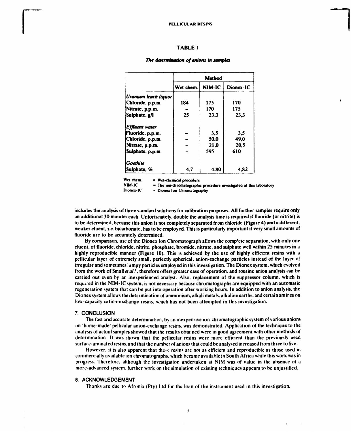#### **TABLE 1**

## **Method**  Wet chem. NIM-IC Dionex-IC *Uranium leach liquor*  **Chloride, p.p.m.** 184 175 170<br>Nitrate, p.p.m. - 170 175 **Nitrate, p.p.m. - 170 175**  Sulphate, g/l | 25 | 23,3 | 23,3 *Effluent water*  **Fluoride, p.p.m.**  $\vert$  - | 3,5 | 3,5 **Chloride, p.p.m. - 50,0 49,0**  Nitrate, p.p.m.  $\vert$  -  $\vert$  21,0  $\vert$  20,5 **Sulphate, p.p.m.**  $\vert$  - | 595 | 610 *Goethite*  **Sulphate,** % **4,7** 4,80 4,82

 $\mathbf{I}$ 

#### *The determination of anions in samples*

**Wet chem. = Wet-chemical procedure**  NIM-IC  $=$  The ion-chromatographic procedure investigated at this laboratory Dionex-IC  $=$  Dionex Ion Chromatography

**Dionex-IC = Dioncx Ion Chromatography** 

includes the analysis of three standard solutions for calibration purposes. All further samples require only an additional 30 minutes each. Unfortt.nately, double the analysis time is required if fluoride (or nitrite) is to be determined, because this anion is not completely separated from chloride (Figure 4) and a different, weaker eluent, i.e. bicarbonate, has to be employed. This is particularly important if very small amounts of fluoride are to be accurately determined.

By comparison, use of the Dionex Ion Chromatograph allows the comp'ete separation, with only one eluent, of fluoride, chloride, nitrite, phosphate, bromide, nitrate, and sulphate well within 25 minutes in a highly reproducible manner (Figure 10). This is achieved by the use of highly efficient resins with a pellicular layer of extremely small, perfectly spherical, anion-exchange particles instead of the layer of irregular and sometimes lumpy particles employed in this investigation. The Dionex system, which evolved from the work of Small *et al.*<sup>1</sup>, therefore offers greater ease of operation, and routine anion analysis can be carried out even by an inexperienced analyst. Also, replacement of the suppressor column, which is required in the NIM-IC system, is not necessary because chromatographs are equipped with an automatic regeneration system that can be put into operation after working hours. In addition to anion analysis, the Dionex system allows the determination of ammonium, alkali metals, alkaline earths, and certain amines on low-capacity cation-exchange resins, which has not been attempted in this investigation.

#### **7. CONCLUSION**

The fast and accurate determination, by an inexpensive ion-chromatographic system of various anions on 'home-made' pellicular anion-exchange resins, was demonstrated. Application of the technique to the analysis of actual samples showed that the results obtained were in good agreement with other methods of determination. It was shown that the pellicular resins were more efficient than the previously used surface-aminated resins, and that the number of anions that could be analysed increased from three to five.

However, it is also apparent that these resins are not as efficient and reproducible as those used in commercially available ion chromatographs, which became available in South Africa while this work was in progress. Therefore, although the investigation undertaken at NIM was of value in the absence of a more-advanced system, further work on the simulation of existing techniques appears to be unjustified.

#### **8. ACKNOWLEDGEMENT**

Thanks are due to Afronix (Pty) Ltd for the loan of the instrument used in this investigation.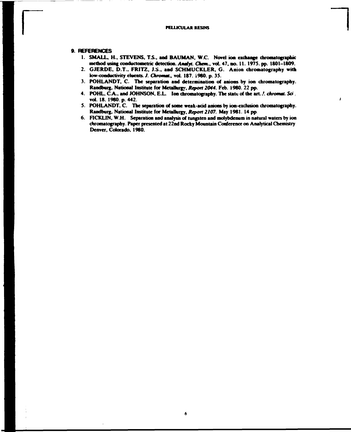#### **PELLICULAR RESINS**

#### **9. REFERENCES**

- **1. SMALL. H., STEVENS. T.S., and BAUMAN. W.C. Novel ion exchange chromatographic method using conductometric detection, Amfyf.** *Chan.,* **vol. 47. no. 11. 1975. pp. 1801-1809.**
- **2. GJERDE. D.T.. FRITZ. J.S., and SCHMUCKLER. G. Anion chromatography with low-conductivity duents.** *J. ChrommL,* **vol. 187. i960, p. 35.**
- **3. POHLANDT, C. The separation and determination of anions by ion chromatography. Randburg. National Institute for Metallurgy.** *Report 2044.* **Feb. 1980. 22 pp.**
- **4. POHL, C.A., and JOHNSON, E L Ion chromatography. The state of die art..'.** *chromt. Sd.*  **vol. 18. 1980. p. 442.**
- **5. POHLANDT. C. The separation of some weak-acid anions by ion-exdusion chromatography. Randburg. National Institute for Metallurgy,** *Report 2107.* **May 1981. 14 pp**
- **6. FICKLIN, W.H. Separation and analysis of tungsten and molybdenum in natural waters by ion chromatography. Paper presented at 22nd Rocky Mountain Conference on Analytical Chemistry Denver, Colorado, 1980.**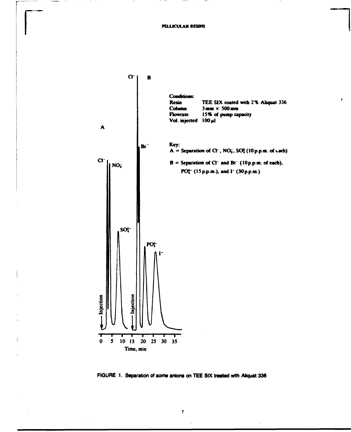$\lambda$ 



FIGURE 1. Separation of some anions on TEE SIX treated with Aliquat 336

 $\pmb{\tau}$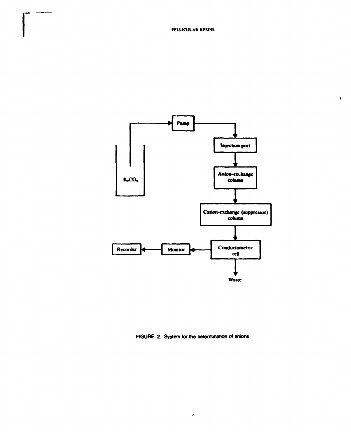$\pmb{\ell}$ 



FIGURE 2. System for the oetermination of anions

 $\hat{\mathbf{x}}$ 

 $\bar{1}$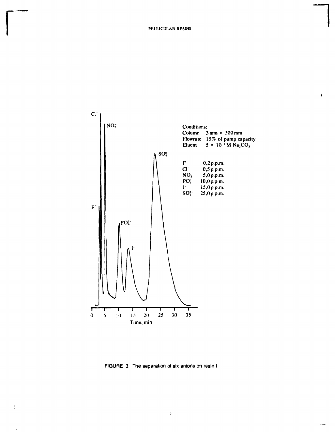

FIGURE 3. The separation of six anions on resin I

 $\boldsymbol{9}$ 

 $\bar{\rm I}$ 

 $\mathbf{1}$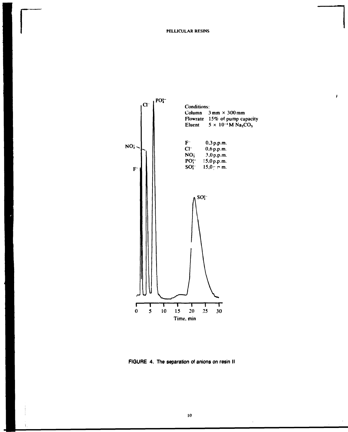$\pmb{\cdot}$ 



FIGURE 4. The separation of anions on resin II

 $\mathbf{I}$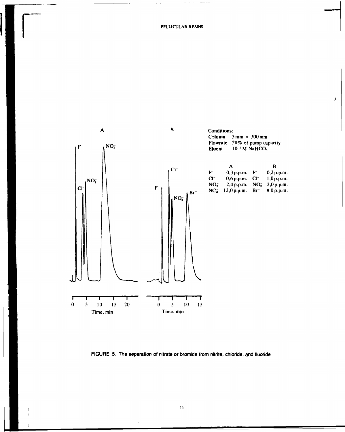$\overline{1}$ 



FIGURE 5. The separation of nitrate or bromide from nitrite, chloride, and fluoride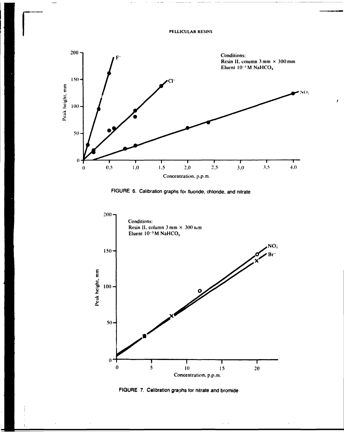PELLICULAR RESINS



 $\bar{I}$ 

FIGURE 6. Calibration graphs for fluoride, chloride, and nitrate



FIGURE 7. Calibration graphs for nitrate and bromide

 $\overline{1}$ 

 $\Gamma = 1$ 

 $\bar{1}$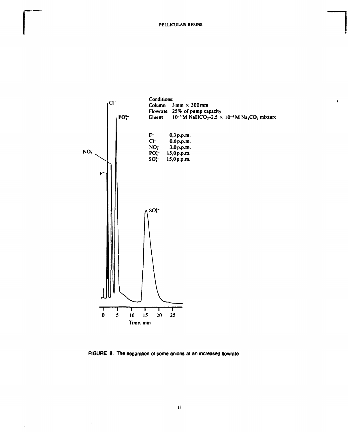$\pmb{\prime}$ 

 $\frac{1}{3}$ 



FIGURE 8. The separation of some anions at an increased flowrate

 $\mathbf{r}$ 

Å,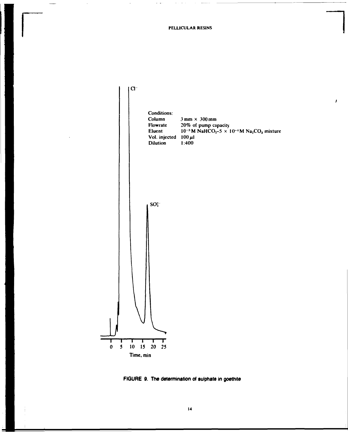PELLICULAR RESINS



FIGURE 9. The determination of sulphate in goethite